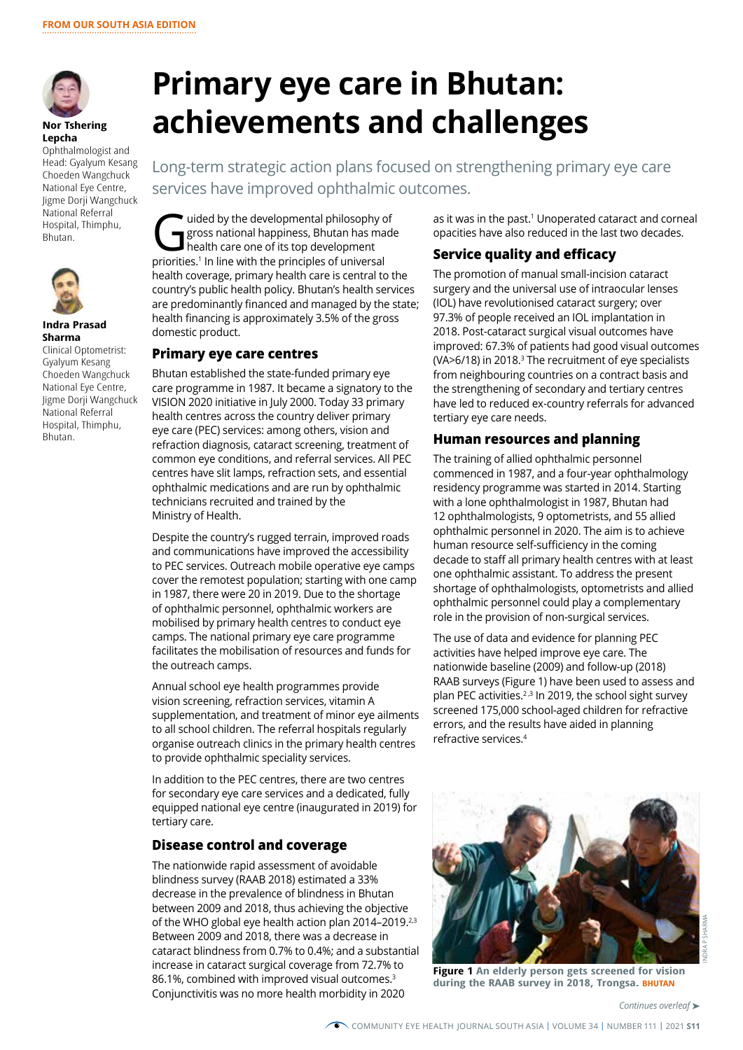

**Nor Tshering Lepcha** 

Ophthalmologist and Head: Gyalyum Kesang Choeden Wangchuck National Eye Centre, Jigme Dorji Wangchuck National Referral Hospital, Thimphu, Bhutan.



#### **Indra Prasad Sharma**

Clinical Optometrist: Gyalyum Kesang Choeden Wangchuck National Eye Centre, Jigme Dorji Wangchuck National Referral Hospital, Thimphu, Bhutan.

# **Primary eye care in Bhutan: achievements and challenges**

Long-term strategic action plans focused on strengthening primary eye care services have improved ophthalmic outcomes.

The developmental philosophy of<br>gross national happiness, Bhutan has made health care one of its top development<br>priorities 1 la line with the principles of universal gross national happiness, Bhutan has made health care one of its top development priorities.1 In line with the principles of universal health coverage, primary health care is central to the country's public health policy. Bhutan's health services are predominantly financed and managed by the state; health financing is approximately 3.5% of the gross domestic product.

### **Primary eye care centres**

Bhutan established the state-funded primary eye care programme in 1987. It became a signatory to the VISION 2020 initiative in July 2000. Today 33 primary health centres across the country deliver primary eye care (PEC) services: among others, vision and refraction diagnosis, cataract screening, treatment of common eye conditions, and referral services. All PEC centres have slit lamps, refraction sets, and essential ophthalmic medications and are run by ophthalmic technicians recruited and trained by the Ministry of Health.

Despite the country's rugged terrain, improved roads and communications have improved the accessibility to PEC services. Outreach mobile operative eye camps cover the remotest population; starting with one camp in 1987, there were 20 in 2019. Due to the shortage of ophthalmic personnel, ophthalmic workers are mobilised by primary health centres to conduct eye camps. The national primary eye care programme facilitates the mobilisation of resources and funds for the outreach camps.

Annual school eye health programmes provide vision screening, refraction services, vitamin A supplementation, and treatment of minor eye ailments to all school children. The referral hospitals regularly organise outreach clinics in the primary health centres to provide ophthalmic speciality services.

In addition to the PEC centres, there are two centres for secondary eye care services and a dedicated, fully equipped national eye centre (inaugurated in 2019) for tertiary care.

### **Disease control and coverage**

The nationwide rapid assessment of avoidable blindness survey (RAAB 2018) estimated a 33% decrease in the prevalence of blindness in Bhutan between 2009 and 2018, thus achieving the objective of the WHO global eye health action plan 2014-2019.<sup>2,3</sup> Between 2009 and 2018, there was a decrease in cataract blindness from 0.7% to 0.4%; and a substantial increase in cataract surgical coverage from 72.7% to 86.1%, combined with improved visual outcomes.<sup>3</sup> Conjunctivitis was no more health morbidity in 2020

as it was in the past.<sup>1</sup> Unoperated cataract and corneal opacities have also reduced in the last two decades.

#### **Service quality and efficacy**

The promotion of manual small-incision cataract surgery and the universal use of intraocular lenses (IOL) have revolutionised cataract surgery; over 97.3% of people received an IOL implantation in 2018. Post-cataract surgical visual outcomes have improved: 67.3% of patients had good visual outcomes (VA $>6/18$ ) in 2018.<sup>3</sup> The recruitment of eye specialists from neighbouring countries on a contract basis and the strengthening of secondary and tertiary centres have led to reduced ex-country referrals for advanced tertiary eye care needs.

#### **Human resources and planning**

The training of allied ophthalmic personnel commenced in 1987, and a four-year ophthalmology residency programme was started in 2014. Starting with a lone ophthalmologist in 1987, Bhutan had 12 ophthalmologists, 9 optometrists, and 55 allied ophthalmic personnel in 2020. The aim is to achieve human resource self-sufficiency in the coming decade to staff all primary health centres with at least one ophthalmic assistant. To address the present shortage of ophthalmologists, optometrists and allied ophthalmic personnel could play a complementary role in the provision of non-surgical services.

The use of data and evidence for planning PEC activities have helped improve eye care. The nationwide baseline (2009) and follow-up (2018) RAAB surveys (Figure 1) have been used to assess and plan PEC activities.<sup>2,3</sup> In 2019, the school sight survey screened 175,000 school-aged children for refractive errors, and the results have aided in planning refractive services.4



**Figure 1 An elderly person gets screened for vision during the RAAB survey in 2018, Trongsa. BHUTAN**